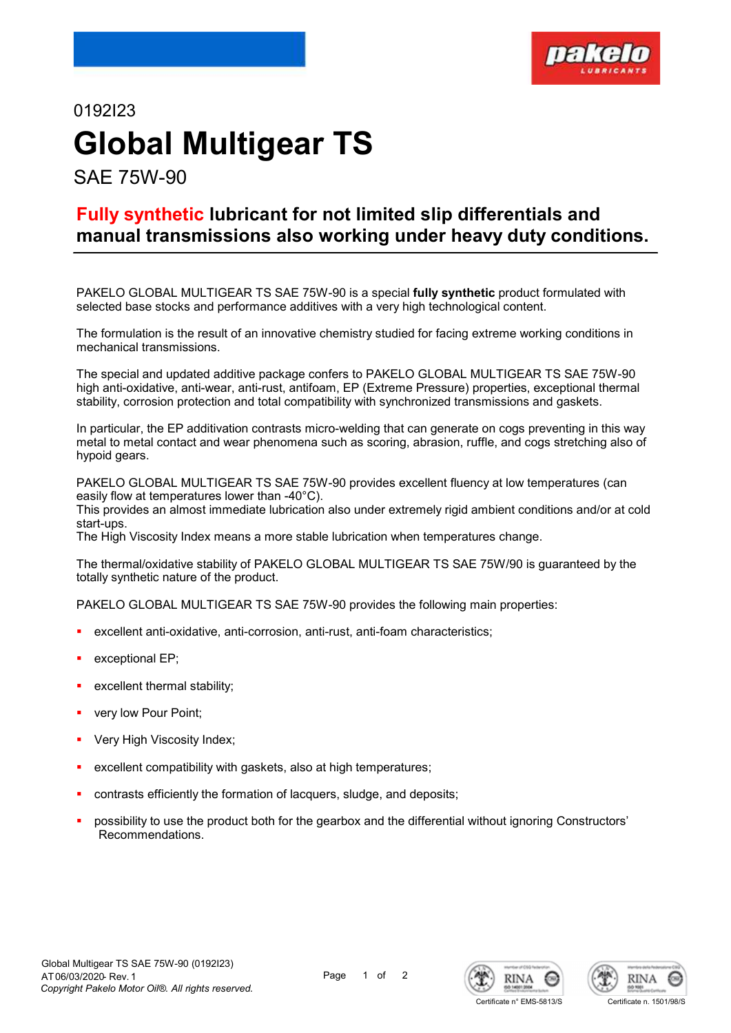

# 0192I23 Global Multigear TS SAE 75W-90

Fully synthetic lubricant for not limited slip differentials and manual transmissions also working under heavy duty conditions.

PAKELO GLOBAL MULTIGEAR TS SAE 75W-90 is a special fully synthetic product formulated with selected base stocks and performance additives with a very high technological content.

The formulation is the result of an innovative chemistry studied for facing extreme working conditions in mechanical transmissions.

The special and updated additive package confers to PAKELO GLOBAL MULTIGEAR TS SAE 75W-90 high anti-oxidative, anti-wear, anti-rust, antifoam, EP (Extreme Pressure) properties, exceptional thermal stability, corrosion protection and total compatibility with synchronized transmissions and gaskets.

In particular, the EP additivation contrasts micro-welding that can generate on cogs preventing in this way metal to metal contact and wear phenomena such as scoring, abrasion, ruffle, and cogs stretching also of hypoid gears.

PAKELO GLOBAL MULTIGEAR TS SAE 75W-90 provides excellent fluency at low temperatures (can easily flow at temperatures lower than -40°C).

This provides an almost immediate lubrication also under extremely rigid ambient conditions and/or at cold start-ups.

The High Viscosity Index means a more stable lubrication when temperatures change.

The thermal/oxidative stability of PAKELO GLOBAL MULTIGEAR TS SAE 75W/90 is guaranteed by the totally synthetic nature of the product.

PAKELO GLOBAL MULTIGEAR TS SAE 75W-90 provides the following main properties:

- excellent anti-oxidative, anti-corrosion, anti-rust, anti-foam characteristics;
- exceptional EP;
- excellent thermal stability;
- very low Pour Point;
- Very High Viscosity Index;
- excellent compatibility with gaskets, also at high temperatures;
- contrasts efficiently the formation of lacquers, sludge, and deposits;
- possibility to use the product both for the gearbox and the differential without ignoring Constructors' Recommendations.





Certificate n° EMS-5813/S Certificate n. 1501/98/S